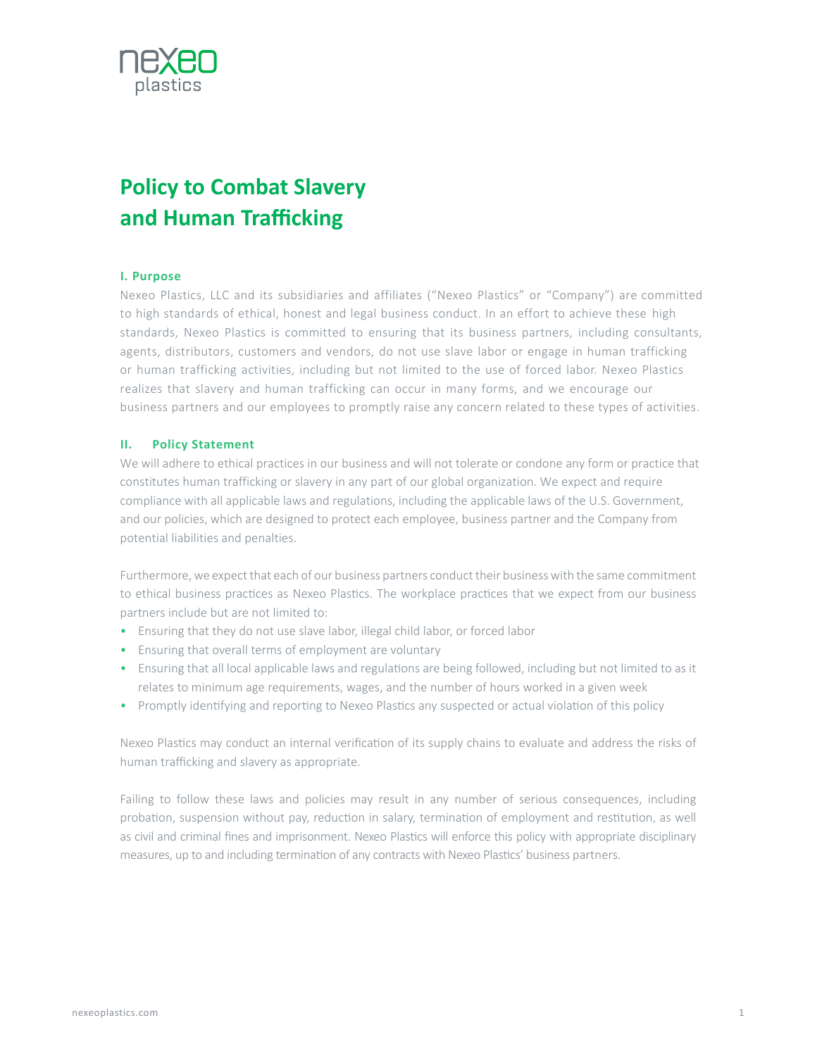

# **Policy to Combat Slavery and Human Trafficking**

#### **I. Purpose**

Nexeo Plastics, LLC and its subsidiaries and affiliates ("Nexeo Plastics" or "Company") are committed to high standards of ethical, honest and legal business conduct. In an effort to achieve these high standards, Nexeo Plastics is committed to ensuring that its business partners, including consultants, agents, distributors, customers and vendors, do not use slave labor or engage in human trafficking or human trafficking activities, including but not limited to the use of forced labor. Nexeo Plastics realizes that slavery and human trafficking can occur in many forms, and we encourage our business partners and our employees to promptly raise any concern related to these types of activities.

#### **II. Policy Statement**

We will adhere to ethical practices in our business and will not tolerate or condone any form or practice that constitutes human trafficking or slavery in any part of our global organization. We expect and require compliance with all applicable laws and regulations, including the applicable laws of the U.S. Government, and our policies, which are designed to protect each employee, business partner and the Company from potential liabilities and penalties.

Furthermore, we expect that each of our business partners conduct their business with the same commitment to ethical business practices as Nexeo Plastics. The workplace practices that we expect from our business partners include but are not limited to:

- Ensuring that they do not use slave labor, illegal child labor, or forced labor
- Ensuring that overall terms of employment are voluntary
- Ensuring that all local applicable laws and regulations are being followed, including but not limited to as it relates to minimum age requirements, wages, and the number of hours worked in a given week
- Promptly identifying and reporting to Nexeo Plastics any suspected or actual violation of this policy

Nexeo Plastics may conduct an internal verification of its supply chains to evaluate and address the risks of human trafficking and slavery as appropriate.

Failing to follow these laws and policies may result in any number of serious consequences, including probation, suspension without pay, reduction in salary, termination of employment and restitution, as well as civil and criminal fines and imprisonment. Nexeo Plastics will enforce this policy with appropriate disciplinary measures, up to and including termination of any contracts with Nexeo Plastics' business partners.